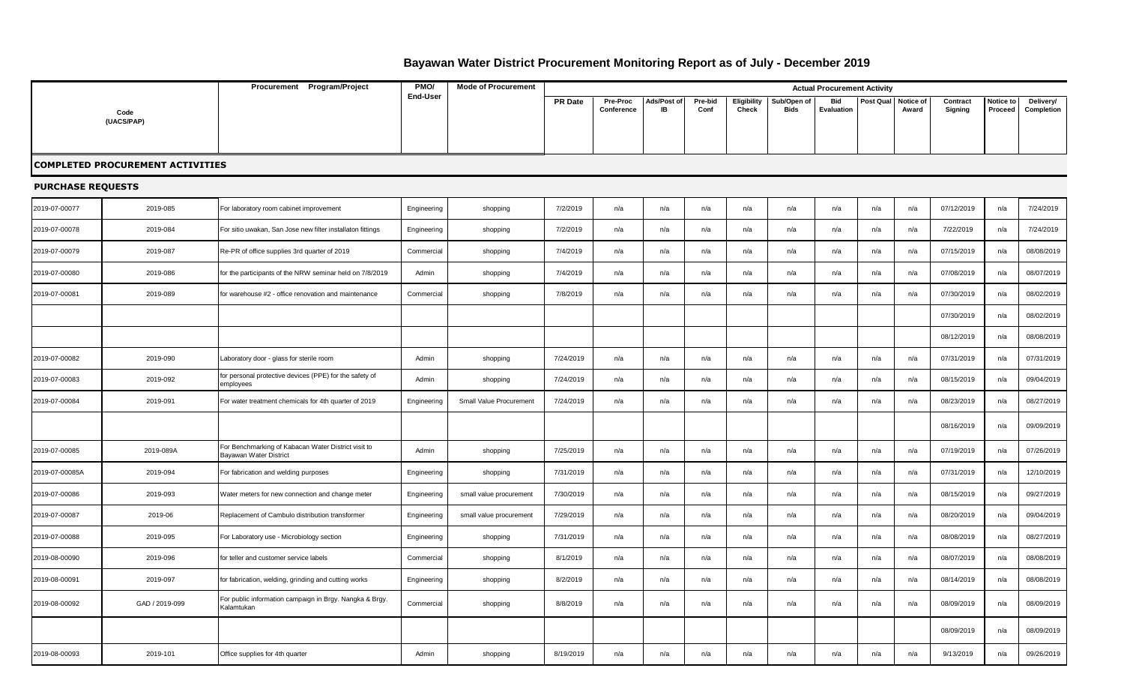## **Bayawan Water District Procurement Monitoring Report as of July - December 2019**

|                          |                                         | Procurement Program/Project                                                   | PMO/            | <b>Mode of Procurement</b> |                |                        |                   |                 |                      |                            | <b>Actual Procurement Activity</b> |           |                    |                     |                      |                         |
|--------------------------|-----------------------------------------|-------------------------------------------------------------------------------|-----------------|----------------------------|----------------|------------------------|-------------------|-----------------|----------------------|----------------------------|------------------------------------|-----------|--------------------|---------------------|----------------------|-------------------------|
|                          |                                         |                                                                               | <b>End-User</b> |                            | <b>PR</b> Date | Pre-Proc<br>Conference | Ads/Post of<br>IB | Pre-bid<br>Conf | Eligibility<br>Check | Sub/Open of<br><b>Bids</b> | Bid<br>Evaluation                  | Post Qual | Notice of<br>Award | Contract<br>Signing | Notice to<br>Proceed | Delivery/<br>Completion |
|                          | Code<br>(UACS/PAP)                      |                                                                               |                 |                            |                |                        |                   |                 |                      |                            |                                    |           |                    |                     |                      |                         |
|                          |                                         |                                                                               |                 |                            |                |                        |                   |                 |                      |                            |                                    |           |                    |                     |                      |                         |
|                          | <b>COMPLETED PROCUREMENT ACTIVITIES</b> |                                                                               |                 |                            |                |                        |                   |                 |                      |                            |                                    |           |                    |                     |                      |                         |
| <b>PURCHASE REQUESTS</b> |                                         |                                                                               |                 |                            |                |                        |                   |                 |                      |                            |                                    |           |                    |                     |                      |                         |
| 2019-07-00077            | 2019-085                                | For laboratory room cabinet improvement                                       | Engineering     | shopping                   | 7/2/2019       | n/a                    | n/a               | n/a             | n/a                  | n/a                        | n/a                                | n/a       | n/a                | 07/12/2019          | n/a                  | 7/24/2019               |
| 2019-07-00078            | 2019-084                                | For sitio uwakan, San Jose new filter installaton fittings                    | Engineering     | shopping                   | 7/2/2019       | n/a                    | n/a               | n/a             | n/a                  | n/a                        | n/a                                | n/a       | n/a                | 7/22/2019           | n/a                  | 7/24/2019               |
| 2019-07-00079            | 2019-087                                | Re-PR of office supplies 3rd quarter of 2019                                  | Commercial      | shopping                   | 7/4/2019       | n/a                    | n/a               | n/a             | n/a                  | n/a                        | n/a                                | n/a       | n/a                | 07/15/2019          | n/a                  | 08/08/2019              |
| 2019-07-00080            | 2019-086                                | for the participants of the NRW seminar held on 7/8/2019                      | Admin           | shopping                   | 7/4/2019       | n/a                    | n/a               | n/a             | n/a                  | n/a                        | n/a                                | n/a       | n/a                | 07/08/2019          | n/a                  | 08/07/2019              |
| 2019-07-00081            | 2019-089                                | for warehouse #2 - office renovation and maintenance                          | Commercial      | shopping                   | 7/8/2019       | n/a                    | n/a               | n/a             | n/a                  | n/a                        | n/a                                | n/a       | n/a                | 07/30/2019          | n/a                  | 08/02/2019              |
|                          |                                         |                                                                               |                 |                            |                |                        |                   |                 |                      |                            |                                    |           |                    | 07/30/2019          | n/a                  | 08/02/2019              |
|                          |                                         |                                                                               |                 |                            |                |                        |                   |                 |                      |                            |                                    |           |                    | 08/12/2019          | n/a                  | 08/08/2019              |
| 2019-07-00082            | 2019-090                                | Laboratory door - glass for sterile room                                      | Admin           | shopping                   | 7/24/2019      | n/a                    | n/a               | n/a             | n/a                  | n/a                        | n/a                                | n/a       | n/a                | 07/31/2019          | n/a                  | 07/31/2019              |
| 2019-07-00083            | 2019-092                                | for personal protective devices (PPE) for the safety of<br>employees          | Admin           | shopping                   | 7/24/2019      | n/a                    | n/a               | n/a             | n/a                  | n/a                        | n/a                                | n/a       | n/a                | 08/15/2019          | n/a                  | 09/04/2019              |
| 2019-07-00084            | 2019-091                                | For water treatment chemicals for 4th quarter of 2019                         | Engineering     | Small Value Procurement    | 7/24/2019      | n/a                    | n/a               | n/a             | n/a                  | n/a                        | n/a                                | n/a       | n/a                | 08/23/2019          | n/a                  | 08/27/2019              |
|                          |                                         |                                                                               |                 |                            |                |                        |                   |                 |                      |                            |                                    |           |                    | 08/16/2019          | n/a                  | 09/09/2019              |
| 2019-07-00085            | 2019-089A                               | For Benchmarking of Kabacan Water District visit to<br>Bayawan Water District | Admin           | shopping                   | 7/25/2019      | n/a                    | n/a               | n/a             | n/a                  | n/a                        | n/a                                | n/a       | n/a                | 07/19/2019          | n/a                  | 07/26/2019              |
| 2019-07-00085A           | 2019-094                                | For fabrication and welding purposes                                          | Engineering     | shopping                   | 7/31/2019      | n/a                    | n/a               | n/a             | n/a                  | n/a                        | n/a                                | n/a       | n/a                | 07/31/2019          | n/a                  | 12/10/2019              |
| 2019-07-00086            | 2019-093                                | Water meters for new connection and change meter                              | Engineering     | small value procurement    | 7/30/2019      | n/a                    | n/a               | n/a             | n/a                  | n/a                        | n/a                                | n/a       | n/a                | 08/15/2019          | n/a                  | 09/27/2019              |
| 2019-07-00087            | 2019-06                                 | Replacement of Cambulo distribution transformer                               | Engineering     | small value procurement    | 7/29/2019      | n/a                    | n/a               | n/a             | n/a                  | n/a                        | n/a                                | n/a       | n/a                | 08/20/2019          | n/a                  | 09/04/2019              |
| 2019-07-00088            | 2019-095                                | For Laboratory use - Microbiology section                                     | Engineering     | shopping                   | 7/31/2019      | n/a                    | n/a               | n/a             | n/a                  | n/a                        | n/a                                | n/a       | n/a                | 08/08/2019          | n/a                  | 08/27/2019              |
| 2019-08-00090            | 2019-096                                | for teller and customer service labels                                        | Commercial      | shopping                   | 8/1/2019       | n/a                    | n/a               | n/a             | n/a                  | n/a                        | n/a                                | n/a       | n/a                | 08/07/2019          | n/a                  | 08/08/2019              |
| 2019-08-00091            | 2019-097                                | for fabrication, welding, grinding and cutting works                          | Engineering     | shopping                   | 8/2/2019       | n/a                    | n/a               | n/a             | n/a                  | n/a                        | n/a                                | n/a       | n/a                | 08/14/2019          | n/a                  | 08/08/2019              |
| 2019-08-00092            | GAD / 2019-099                          | For public information campaign in Brgy. Nangka & Brgy.<br>Kalamtukan         | Commercial      | shopping                   | 8/8/2019       | n/a                    | n/a               | n/a             | n/a                  | n/a                        | n/a                                | n/a       | n/a                | 08/09/2019          | n/a                  | 08/09/2019              |
|                          |                                         |                                                                               |                 |                            |                |                        |                   |                 |                      |                            |                                    |           |                    | 08/09/2019          | n/a                  | 08/09/2019              |
| 2019-08-00093            | 2019-101                                | Office supplies for 4th quarter                                               | Admin           | shopping                   | 8/19/2019      | n/a                    | n/a               | n/a             | n/a                  | n/a                        | n/a                                | n/a       | n/a                | 9/13/2019           | n/a                  | 09/26/2019              |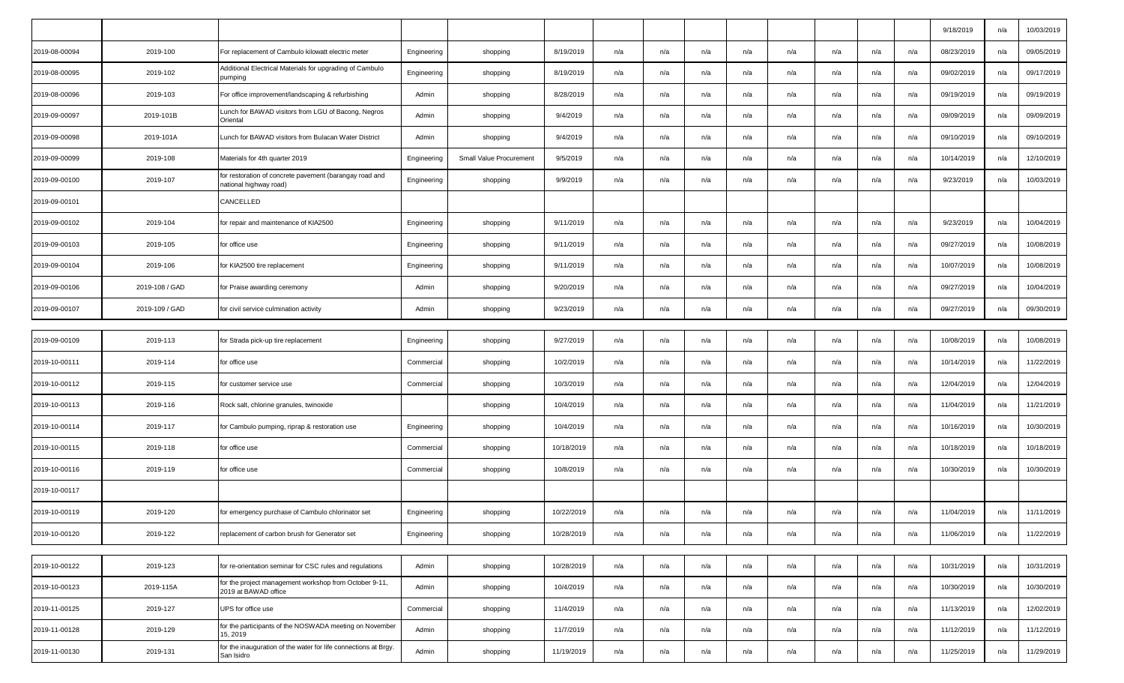|               |                |                                                                                   |             |                         |            |     |     |     |     |     |     |     |     | 9/18/2019  | n/a | 10/03/2019 |
|---------------|----------------|-----------------------------------------------------------------------------------|-------------|-------------------------|------------|-----|-----|-----|-----|-----|-----|-----|-----|------------|-----|------------|
| 2019-08-00094 | 2019-100       | For replacement of Cambulo kilowatt electric meter                                | Engineering | shopping                | 8/19/2019  | n/a | n/a | n/a | n/a | n/a | n/a | n/a | n/a | 08/23/2019 | n/a | 09/05/2019 |
| 2019-08-00095 | 2019-102       | Additional Electrical Materials for upgrading of Cambulo<br>pumping               | Engineering | shopping                | 8/19/2019  | n/a | n/a | n/a | n/a | n/a | n/a | n/a | n/a | 09/02/2019 | n/a | 09/17/2019 |
| 2019-08-00096 | 2019-103       | For office improvement/landscaping & refurbishing                                 | Admin       | shopping                | 8/28/2019  | n/a | n/a | n/a | n/a | n/a | n/a | n/a | n/a | 09/19/2019 | n/a | 09/19/2019 |
| 2019-09-00097 | 2019-101B      | Lunch for BAWAD visitors from LGU of Bacong, Negros<br>Oriental                   | Admin       | shopping                | 9/4/2019   | n/a | n/a | n/a | n/a | n/a | n/a | n/a | n/a | 09/09/2019 | n/a | 09/09/2019 |
| 2019-09-00098 | 2019-101A      | Lunch for BAWAD visitors from Bulacan Water District                              | Admin       | shopping                | 9/4/2019   | n/a | n/a | n/a | n/a | n/a | n/a | n/a | n/a | 09/10/2019 | n/a | 09/10/2019 |
| 2019-09-00099 | 2019-108       | Materials for 4th quarter 2019                                                    | Engineering | Small Value Procurement | 9/5/2019   | n/a | n/a | n/a | n/a | n/a | n/a | n/a | n/a | 10/14/2019 | n/a | 12/10/2019 |
| 2019-09-00100 | 2019-107       | for restoration of concrete pavement (barangay road and<br>national highway road) | Engineering | shopping                | 9/9/2019   | n/a | n/a | n/a | n/a | n/a | n/a | n/a | n/a | 9/23/2019  | n/a | 10/03/2019 |
| 2019-09-00101 |                | CANCELLED                                                                         |             |                         |            |     |     |     |     |     |     |     |     |            |     |            |
| 2019-09-00102 | 2019-104       | for repair and maintenance of KIA2500                                             | Engineering | shopping                | 9/11/2019  | n/a | n/a | n/a | n/a | n/a | n/a | n/a | n/a | 9/23/2019  | n/a | 10/04/2019 |
| 2019-09-00103 | 2019-105       | for office use                                                                    | Engineering | shopping                | 9/11/2019  | n/a | n/a | n/a | n/a | n/a | n/a | n/a | n/a | 09/27/2019 | n/a | 10/08/2019 |
| 2019-09-00104 | 2019-106       | for KIA2500 tire replacement                                                      | Engineering | shopping                | 9/11/2019  | n/a | n/a | n/a | n/a | n/a | n/a | n/a | n/a | 10/07/2019 | n/a | 10/08/2019 |
| 2019-09-00106 | 2019-108 / GAD | for Praise awarding ceremony                                                      | Admin       | shopping                | 9/20/2019  | n/a | n/a | n/a | n/a | n/a | n/a | n/a | n/a | 09/27/2019 | n/a | 10/04/2019 |
| 2019-09-00107 | 2019-109 / GAD | for civil service culmination activity                                            | Admin       | shopping                | 9/23/2019  | n/a | n/a | n/a | n/a | n/a | n/a | n/a | n/a | 09/27/2019 | n/a | 09/30/2019 |
|               |                |                                                                                   |             |                         |            |     |     |     |     |     |     |     |     |            |     |            |
| 2019-09-00109 | 2019-113       | for Strada pick-up tire replacement                                               | Engineering | shopping                | 9/27/2019  | n/a | n/a | n/a | n/a | n/a | n/a | n/a | n/a | 10/08/2019 | n/a | 10/08/2019 |
| 2019-10-00111 | 2019-114       | for office use                                                                    | Commercial  | shopping                | 10/2/2019  | n/a | n/a | n/a | n/a | n/a | n/a | n/a | n/a | 10/14/2019 | n/a | 11/22/2019 |
| 2019-10-00112 | 2019-115       | for customer service use                                                          | Commercial  | shopping                | 10/3/2019  | n/a | n/a | n/a | n/a | n/a | n/a | n/a | n/a | 12/04/2019 | n/a | 12/04/2019 |
| 2019-10-00113 | 2019-116       | Rock salt, chlorine granules, twinoxide                                           |             | shopping                | 10/4/2019  | n/a | n/a | n/a | n/a | n/a | n/a | n/a | n/a | 11/04/2019 | n/a | 11/21/2019 |
| 2019-10-00114 | 2019-117       | for Cambulo pumping, riprap & restoration use                                     | Engineering | shopping                | 10/4/2019  | n/a | n/a | n/a | n/a | n/a | n/a | n/a | n/a | 10/16/2019 | n/a | 10/30/2019 |
| 2019-10-00115 | 2019-118       | for office use                                                                    | Commercial  | shopping                | 10/18/2019 | n/a | n/a | n/a | n/a | n/a | n/a | n/a | n/a | 10/18/2019 | n/a | 10/18/2019 |
| 2019-10-00116 | 2019-119       | for office use                                                                    | Commercial  | shopping                | 10/8/2019  | n/a | n/a | n/a | n/a | n/a | n/a | n/a | n/a | 10/30/2019 | n/a | 10/30/2019 |
| 2019-10-00117 |                |                                                                                   |             |                         |            |     |     |     |     |     |     |     |     |            |     |            |
| 2019-10-00119 | 2019-120       | for emergency purchase of Cambulo chlorinator set                                 | Engineering | shopping                | 10/22/2019 | n/a | n/a | n/a | n/a | n/a | n/a | n/a | n/a | 11/04/2019 | n/a | 11/11/2019 |
| 2019-10-00120 | 2019-122       | replacement of carbon brush for Generator set                                     | Engineering | shopping                | 10/28/2019 | n/a | n/a | n/a | n/a | n/a | n/a | n/a | n/a | 11/06/2019 | n/a | 11/22/2019 |
|               |                |                                                                                   |             |                         |            |     |     |     |     |     |     |     |     |            |     |            |
| 2019-10-00122 | 2019-123       | for re-orientation seminar for CSC rules and regulations                          | Admin       | shopping                | 10/28/2019 | n/a | n/a | n/a | n/a | n/a | n/a | n/a | n/a | 10/31/2019 | n/a | 10/31/2019 |
| 2019-10-00123 | 2019-115A      | for the project management workshop from October 9-11,<br>2019 at BAWAD office    | Admin       | shopping                | 10/4/2019  | n/a | n/a | n/a | n/a | n/a | n/a | n/a | n/a | 10/30/2019 | n/a | 10/30/2019 |
| 2019-11-00125 | 2019-127       | UPS for office use                                                                | Commercial  | shopping                | 11/4/2019  | n/a | n/a | n/a | n/a | n/a | n/a | n/a | n/a | 11/13/2019 | n/a | 12/02/2019 |
| 2019-11-00128 | 2019-129       | for the participants of the NOSWADA meeting on November<br>15, 2019               | Admin       | shopping                | 11/7/2019  | n/a | n/a | n/a | n/a | n/a | n/a | n/a | n/a | 11/12/2019 | n/a | 11/12/2019 |
| 2019-11-00130 | 2019-131       | for the inauguration of the water for life connections at Brgy.<br>San Isidro     | Admin       | shopping                | 11/19/2019 | n/a | n/a | n/a | n/a | n/a | n/a | n/a | n/a | 11/25/2019 | n/a | 11/29/2019 |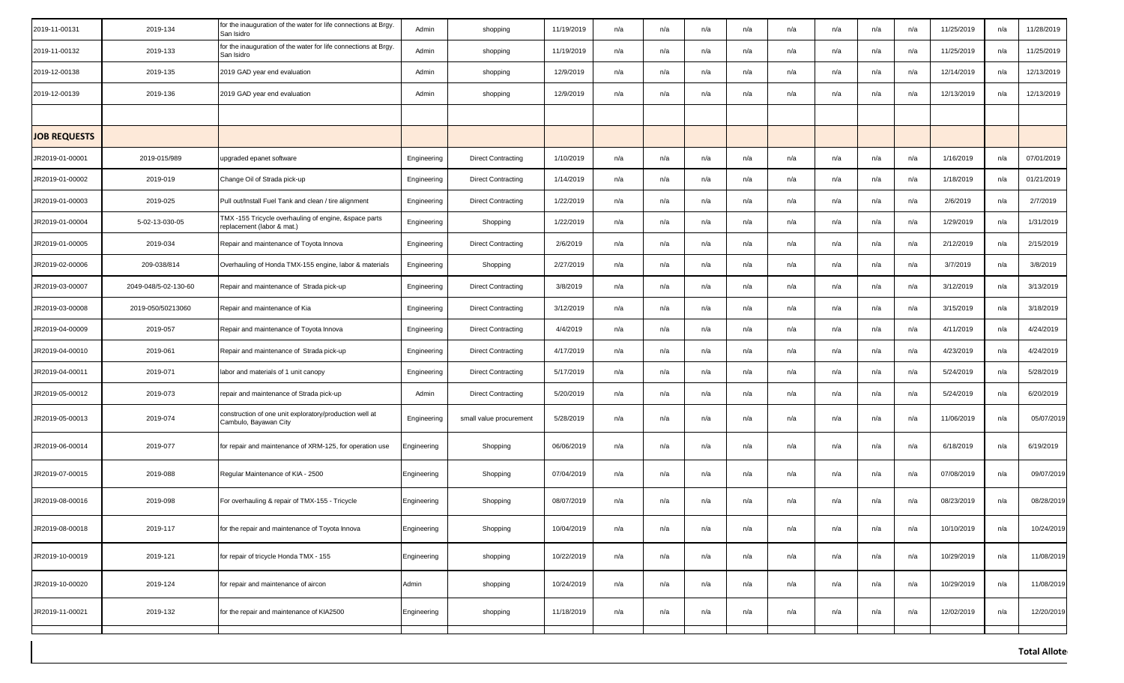| 2019-11-00131       | 2019-134             | for the inauguration of the water for life connections at Brgy.<br>San Isidro       | Admin       | shopping                  | 11/19/2019 | n/a | n/a | n/a | n/a | n/a | n/a | n/a | n/a | 11/25/2019 | n/a | 11/28/2019 |
|---------------------|----------------------|-------------------------------------------------------------------------------------|-------------|---------------------------|------------|-----|-----|-----|-----|-----|-----|-----|-----|------------|-----|------------|
| 2019-11-00132       | 2019-133             | for the inauguration of the water for life connections at Brgy.<br>San Isidro       | Admin       | shopping                  | 11/19/2019 | n/a | n/a | n/a | n/a | n/a | n/a | n/a | n/a | 11/25/2019 | n/a | 11/25/2019 |
| 2019-12-00138       | 2019-135             | 2019 GAD year end evaluation                                                        | Admin       | shopping                  | 12/9/2019  | n/a | n/a | n/a | n/a | n/a | n/a | n/a | n/a | 12/14/2019 | n/a | 12/13/2019 |
| 2019-12-00139       | 2019-136             | 2019 GAD year end evaluation                                                        | Admin       | shopping                  | 12/9/2019  | n/a | n/a | n/a | n/a | n/a | n/a | n/a | n/a | 12/13/2019 | n/a | 12/13/2019 |
|                     |                      |                                                                                     |             |                           |            |     |     |     |     |     |     |     |     |            |     |            |
| <b>JOB REQUESTS</b> |                      |                                                                                     |             |                           |            |     |     |     |     |     |     |     |     |            |     |            |
| JR2019-01-00001     | 2019-015/989         | upgraded epanet software                                                            | Engineering | <b>Direct Contracting</b> | 1/10/2019  | n/a | n/a | n/a | n/a | n/a | n/a | n/a | n/a | 1/16/2019  | n/a | 07/01/2019 |
| JR2019-01-00002     | 2019-019             | Change Oil of Strada pick-up                                                        | Engineering | <b>Direct Contracting</b> | 1/14/2019  | n/a | n/a | n/a | n/a | n/a | n/a | n/a | n/a | 1/18/2019  | n/a | 01/21/2019 |
| JR2019-01-00003     | 2019-025             | Pull out/Install Fuel Tank and clean / tire alignment                               | Engineering | <b>Direct Contracting</b> | 1/22/2019  | n/a | n/a | n/a | n/a | n/a | n/a | n/a | n/a | 2/6/2019   | n/a | 2/7/2019   |
| JR2019-01-00004     | 5-02-13-030-05       | TMX -155 Tricycle overhauling of engine, &space parts<br>replacement (labor & mat.) | Engineering | Shopping                  | 1/22/2019  | n/a | n/a | n/a | n/a | n/a | n/a | n/a | n/a | 1/29/2019  | n/a | 1/31/2019  |
| JR2019-01-00005     | 2019-034             | Repair and maintenance of Toyota Innova                                             | Engineering | <b>Direct Contracting</b> | 2/6/2019   | n/a | n/a | n/a | n/a | n/a | n/a | n/a | n/a | 2/12/2019  | n/a | 2/15/2019  |
| JR2019-02-00006     | 209-038/814          | Overhauling of Honda TMX-155 engine, labor & materials                              | Engineering | Shopping                  | 2/27/2019  | n/a | n/a | n/a | n/a | n/a | n/a | n/a | n/a | 3/7/2019   | n/a | 3/8/2019   |
| JR2019-03-00007     | 2049-048/5-02-130-60 | Repair and maintenance of Strada pick-up                                            | Engineering | <b>Direct Contracting</b> | 3/8/2019   | n/a | n/a | n/a | n/a | n/a | n/a | n/a | n/a | 3/12/2019  | n/a | 3/13/2019  |
| JR2019-03-00008     | 2019-050/50213060    | Repair and maintenance of Kia                                                       | Engineering | <b>Direct Contracting</b> | 3/12/2019  | n/a | n/a | n/a | n/a | n/a | n/a | n/a | n/a | 3/15/2019  | n/a | 3/18/2019  |
| JR2019-04-00009     | 2019-057             | Repair and maintenance of Toyota Innova                                             | Engineering | <b>Direct Contracting</b> | 4/4/2019   | n/a | n/a | n/a | n/a | n/a | n/a | n/a | n/a | 4/11/2019  | n/a | 4/24/2019  |
| JR2019-04-00010     | 2019-061             | Repair and maintenance of Strada pick-up                                            | Engineering | <b>Direct Contracting</b> | 4/17/2019  | n/a | n/a | n/a | n/a | n/a | n/a | n/a | n/a | 4/23/2019  | n/a | 4/24/2019  |
| JR2019-04-00011     | 2019-071             | labor and materials of 1 unit canopy                                                | Engineering | <b>Direct Contracting</b> | 5/17/2019  | n/a | n/a | n/a | n/a | n/a | n/a | n/a | n/a | 5/24/2019  | n/a | 5/28/2019  |
| JR2019-05-00012     | 2019-073             | repair and maintenance of Strada pick-up                                            | Admin       | <b>Direct Contracting</b> | 5/20/2019  | n/a | n/a | n/a | n/a | n/a | n/a | n/a | n/a | 5/24/2019  | n/a | 6/20/2019  |
| JR2019-05-00013     | 2019-074             | construction of one unit exploratory/production well at<br>Cambulo, Bayawan City    | Engineering | small value procurement   | 5/28/2019  | n/a | n/a | n/a | n/a | n/a | n/a | n/a | n/a | 11/06/2019 | n/a | 05/07/2019 |
| JR2019-06-00014     | 2019-077             | for repair and maintenance of XRM-125, for operation use                            | Engineering | Shopping                  | 06/06/2019 | n/a | n/a | n/a | n/a | n/a | n/a | n/a | n/a | 6/18/2019  | n/a | 6/19/2019  |
| JR2019-07-00015     | 2019-088             | Regular Maintenance of KIA - 2500                                                   | Engineering | Shopping                  | 07/04/2019 | n/a | n/a | n/a | n/a | n/a | n/a | n/a | n/a | 07/08/2019 | n/a | 09/07/2019 |
| JR2019-08-00016     | 2019-098             | For overhauling & repair of TMX-155 - Tricycle                                      | Engineering | Shopping                  | 08/07/2019 | n/a | n/a | n/a | n/a | n/a | n/a | n/a | n/a | 08/23/2019 | n/a | 08/28/2019 |
| JR2019-08-00018     | 2019-117             | for the repair and maintenance of Toyota Innova                                     | Engineering | Shopping                  | 10/04/2019 | n/a | n/a | n/a | n/a | n/a | n/a | n/a | n/a | 10/10/2019 | n/a | 10/24/2019 |
| JR2019-10-00019     | 2019-121             | for repair of tricycle Honda TMX - 155                                              | Engineering | shopping                  | 10/22/2019 | n/a | n/a | n/a | n/a | n/a | n/a | n/a | n/a | 10/29/2019 | n/a | 11/08/2019 |
| JR2019-10-00020     | 2019-124             | for repair and maintenance of aircon                                                | Admin       | shopping                  | 10/24/2019 | n/a | n/a | n/a | n/a | n/a | n/a | n/a | n/a | 10/29/2019 | n/a | 11/08/2019 |
| JR2019-11-00021     | 2019-132             | for the repair and maintenance of KIA2500                                           | Engineering | shopping                  | 11/18/2019 | n/a | n/a | n/a | n/a | n/a | n/a | n/a | n/a | 12/02/2019 | n/a | 12/20/2019 |
|                     |                      |                                                                                     |             |                           |            |     |     |     |     |     |     |     |     |            |     |            |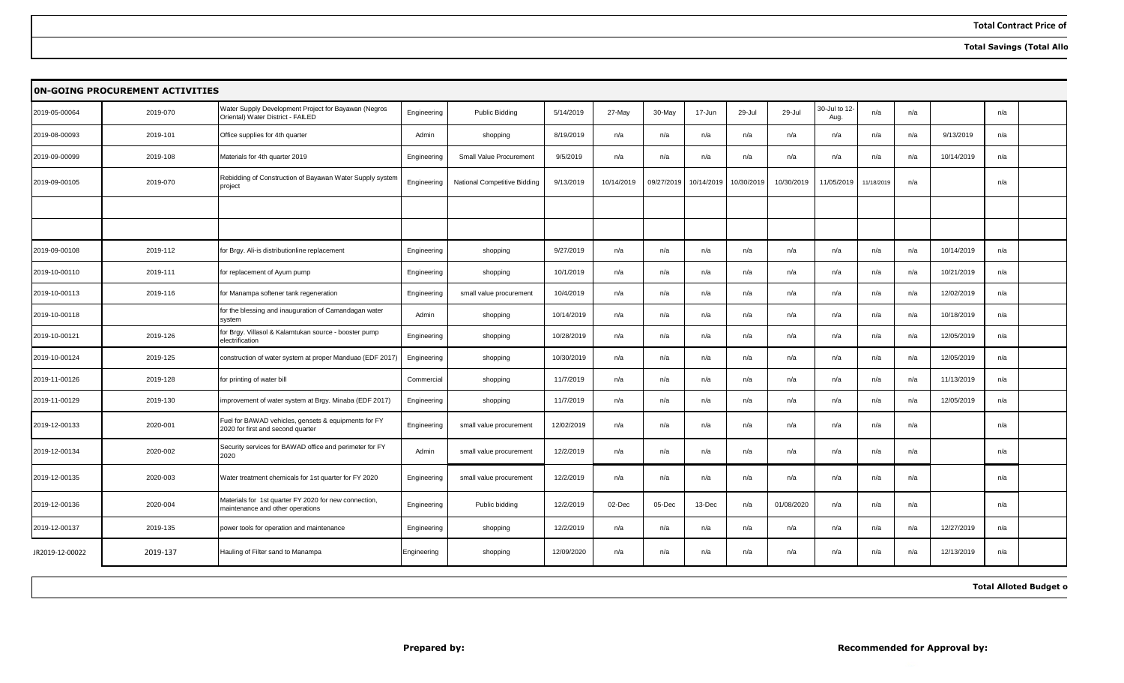**Total Savings (Total Allo** 

|                 | <b>ON-GOING PROCUREMENT ACTIVITIES</b><br>30-Jul to 12<br>Water Supply Development Project for Bayawan (Negros |                                                                                           |             |                              |            |            |            |            |            |            |            |            |     |            |     |  |
|-----------------|----------------------------------------------------------------------------------------------------------------|-------------------------------------------------------------------------------------------|-------------|------------------------------|------------|------------|------------|------------|------------|------------|------------|------------|-----|------------|-----|--|
| 2019-05-00064   | 2019-070                                                                                                       | Oriental) Water District - FAILED                                                         | Engineering | Public Bidding               | 5/14/2019  | 27-May     | 30-May     | 17-Jun     | 29-Jul     | 29-Jul     | Aug.       | n/a        | n/a |            | n/a |  |
| 2019-08-00093   | 2019-101                                                                                                       | Office supplies for 4th quarter                                                           | Admin       | shopping                     | 8/19/2019  | n/a        | n/a        | n/a        | n/a        | n/a        | n/a        | n/a        | n/a | 9/13/2019  | n/a |  |
| 2019-09-00099   | 2019-108                                                                                                       | Materials for 4th quarter 2019                                                            | Engineering | Small Value Procurement      | 9/5/2019   | n/a        | n/a        | n/a        | n/a        | n/a        | n/a        | n/a        | n/a | 10/14/2019 | n/a |  |
| 2019-09-00105   | 2019-070                                                                                                       | Rebidding of Construction of Bayawan Water Supply system<br>project                       | Engineering | National Competitive Bidding | 9/13/2019  | 10/14/2019 | 09/27/2019 | 10/14/2019 | 10/30/2019 | 10/30/2019 | 11/05/2019 | 11/18/2019 | n/a |            | n/a |  |
|                 |                                                                                                                |                                                                                           |             |                              |            |            |            |            |            |            |            |            |     |            |     |  |
|                 |                                                                                                                |                                                                                           |             |                              |            |            |            |            |            |            |            |            |     |            |     |  |
| 2019-09-00108   | 2019-112                                                                                                       | for Brgy. Ali-is distributionline replacement                                             | Engineering | shopping                     | 9/27/2019  | n/a        | n/a        | n/a        | n/a        | n/a        | n/a        | n/a        | n/a | 10/14/2019 | n/a |  |
| 2019-10-00110   | 2019-111                                                                                                       | for replacement of Ayum pump                                                              | Engineering | shopping                     | 10/1/2019  | n/a        | n/a        | n/a        | n/a        | n/a        | n/a        | n/a        | n/a | 10/21/2019 | n/a |  |
| 2019-10-00113   | 2019-116                                                                                                       | for Manampa softener tank regeneration                                                    | Engineering | small value procurement      | 10/4/2019  | n/a        | n/a        | n/a        | n/a        | n/a        | n/a        | n/a        | n/a | 12/02/2019 | n/a |  |
| 2019-10-00118   |                                                                                                                | for the blessing and inauguration of Camandagan water<br>system                           | Admin       | shopping                     | 10/14/2019 | n/a        | n/a        | n/a        | n/a        | n/a        | n/a        | n/a        | n/a | 10/18/2019 | n/a |  |
| 2019-10-00121   | 2019-126                                                                                                       | for Brgy. Villasol & Kalamtukan source - booster pump<br>electrification                  | Engineering | shopping                     | 10/28/2019 | n/a        | n/a        | n/a        | n/a        | n/a        | n/a        | n/a        | n/a | 12/05/2019 | n/a |  |
| 2019-10-00124   | 2019-125                                                                                                       | construction of water system at proper Manduao (EDF 2017)                                 | Engineering | shopping                     | 10/30/2019 | n/a        | n/a        | n/a        | n/a        | n/a        | n/a        | n/a        | n/a | 12/05/2019 | n/a |  |
| 2019-11-00126   | 2019-128                                                                                                       | for printing of water bill                                                                | Commercial  | shopping                     | 11/7/2019  | n/a        | n/a        | n/a        | n/a        | n/a        | n/a        | n/a        | n/a | 11/13/2019 | n/a |  |
| 2019-11-00129   | 2019-130                                                                                                       | improvement of water system at Brgy. Minaba (EDF 2017)                                    | Engineering | shopping                     | 11/7/2019  | n/a        | n/a        | n/a        | n/a        | n/a        | n/a        | n/a        | n/a | 12/05/2019 | n/a |  |
| 2019-12-00133   | 2020-001                                                                                                       | Fuel for BAWAD vehicles, gensets & equipments for FY<br>2020 for first and second quarter | Engineering | small value procurement      | 12/02/2019 | n/a        | n/a        | n/a        | n/a        | n/a        | n/a        | n/a        | n/a |            | n/a |  |
| 2019-12-00134   | 2020-002                                                                                                       | Security services for BAWAD office and perimeter for FY<br>2020                           | Admin       | small value procurement      | 12/2/2019  | n/a        | n/a        | n/a        | n/a        | n/a        | n/a        | n/a        | n/a |            | n/a |  |
| 2019-12-00135   | 2020-003                                                                                                       | Water treatment chemicals for 1st quarter for FY 2020                                     | Engineering | small value procurement      | 12/2/2019  | n/a        | n/a        | n/a        | n/a        | n/a        | n/a        | n/a        | n/a |            | n/a |  |
| 2019-12-00136   | 2020-004                                                                                                       | Materials for 1st quarter FY 2020 for new connection,<br>maintenance and other operations | Engineering | Public bidding               | 12/2/2019  | 02-Dec     | 05-Dec     | 13-Dec     | n/a        | 01/08/2020 | n/a        | n/a        | n/a |            | n/a |  |
| 2019-12-00137   | 2019-135                                                                                                       | power tools for operation and maintenance                                                 | Engineering | shopping                     | 12/2/2019  | n/a        | n/a        | n/a        | n/a        | n/a        | n/a        | n/a        | n/a | 12/27/2019 | n/a |  |
| JR2019-12-00022 | 2019-137                                                                                                       | Hauling of Filter sand to Manampa                                                         | Engineering | shopping                     | 12/09/2020 | n/a        | n/a        | n/a        | n/a        | n/a        | n/a        | n/a        | n/a | 12/13/2019 | n/a |  |

 **Total Alloted Budget o**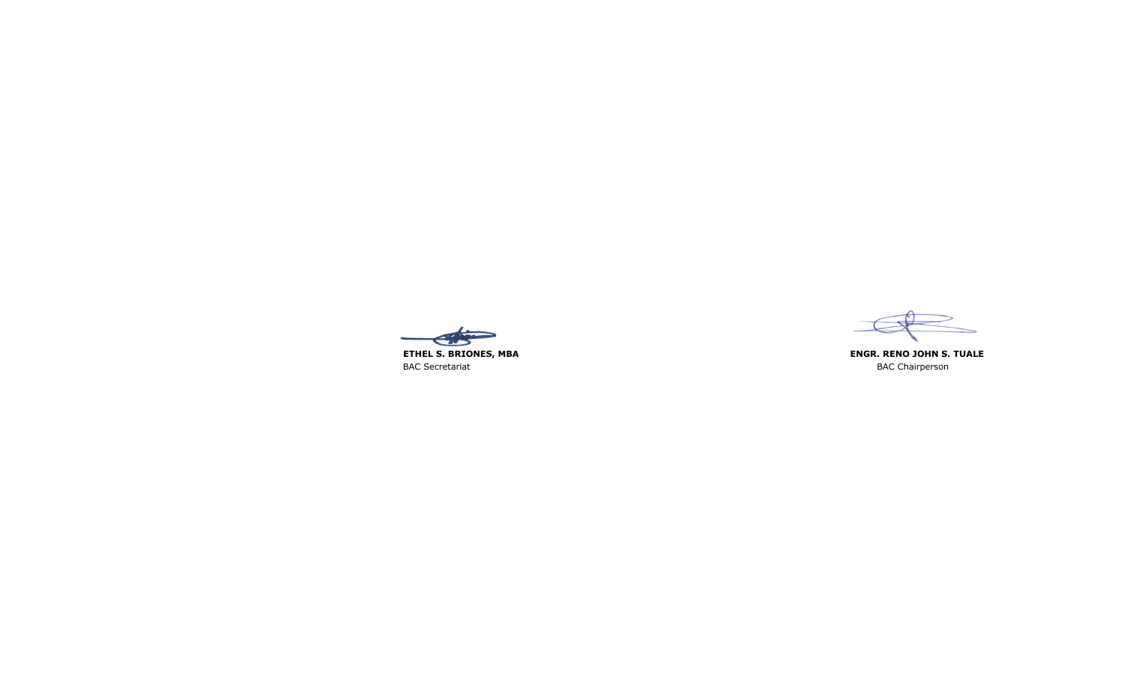



**ENGR. RENO JOHN S. TUALE**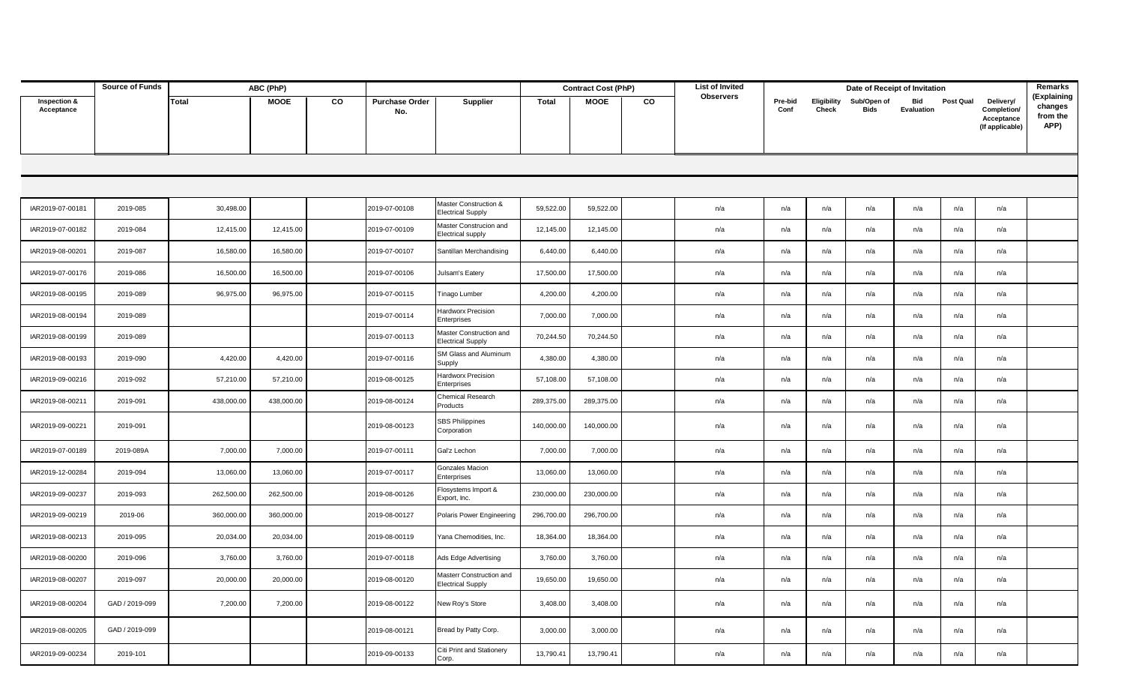|                            | <b>Source of Funds</b> |            | ABC (PhP)   |    |                              |                                                      |            | <b>Contract Cost (PhP)</b> |    | List of Invited  |                 |                      | Date of Receipt of Invitation |                          |                  |                                                           | Remarks                                    |
|----------------------------|------------------------|------------|-------------|----|------------------------------|------------------------------------------------------|------------|----------------------------|----|------------------|-----------------|----------------------|-------------------------------|--------------------------|------------------|-----------------------------------------------------------|--------------------------------------------|
| Inspection &<br>Acceptance |                        | Total      | <b>MOOE</b> | CO | <b>Purchase Order</b><br>No. | Supplier                                             | Total      | MOOE                       | CO | <b>Observers</b> | Pre-bid<br>Conf | Eligibility<br>Check | Sub/Open of<br>Bids           | Bid<br><b>Evaluation</b> | <b>Post Qual</b> | Delivery/<br>Completion/<br>Acceptance<br>(If applicable) | (Explaining<br>changes<br>from the<br>APP) |
|                            |                        |            |             |    |                              |                                                      |            |                            |    |                  |                 |                      |                               |                          |                  |                                                           |                                            |
|                            |                        |            |             |    |                              |                                                      |            |                            |    |                  |                 |                      |                               |                          |                  |                                                           |                                            |
| IAR2019-07-00181           | 2019-085               | 30,498.00  |             |    | 2019-07-00108                | Master Construction &<br><b>Electrical Supply</b>    | 59,522.00  | 59,522.00                  |    | n/a              | n/a             | n/a                  | n/a                           | n/a                      | n/a              | n/a                                                       |                                            |
| IAR2019-07-00182           | 2019-084               | 12,415.00  | 12,415.00   |    | 2019-07-00109                | Master Construcion and<br>Electrical supply          | 12,145.00  | 12,145.00                  |    | n/a              | n/a             | n/a                  | n/a                           | n/a                      | n/a              | n/a                                                       |                                            |
| IAR2019-08-00201           | 2019-087               | 16,580.00  | 16,580.00   |    | 2019-07-00107                | Santillan Merchandising                              | 6,440.00   | 6,440.00                   |    | n/a              | n/a             | n/a                  | n/a                           | n/a                      | n/a              | n/a                                                       |                                            |
| IAR2019-07-00176           | 2019-086               | 16,500.00  | 16,500.00   |    | 2019-07-00106                | Julsam's Eatery                                      | 17,500.00  | 17,500.00                  |    | n/a              | n/a             | n/a                  | n/a                           | n/a                      | n/a              | n/a                                                       |                                            |
| IAR2019-08-00195           | 2019-089               | 96,975.00  | 96,975.00   |    | 2019-07-00115                | Tinago Lumber                                        | 4,200.00   | 4,200.00                   |    | n/a              | n/a             | n/a                  | n/a                           | n/a                      | n/a              | n/a                                                       |                                            |
| IAR2019-08-00194           | 2019-089               |            |             |    | 2019-07-00114                | Hardworx Precision<br>Enterprises                    | 7,000.00   | 7,000.00                   |    | n/a              | n/a             | n/a                  | n/a                           | n/a                      | n/a              | n/a                                                       |                                            |
| IAR2019-08-00199           | 2019-089               |            |             |    | 2019-07-00113                | Master Construction and<br>Electrical Supply         | 70,244.50  | 70,244.50                  |    | n/a              | n/a             | n/a                  | n/a                           | n/a                      | n/a              | n/a                                                       |                                            |
| IAR2019-08-00193           | 2019-090               | 4,420.00   | 4,420.00    |    | 2019-07-00116                | SM Glass and Aluminum<br>Supply                      | 4,380.00   | 4,380.00                   |    | n/a              | n/a             | n/a                  | n/a                           | n/a                      | n/a              | n/a                                                       |                                            |
| IAR2019-09-00216           | 2019-092               | 57,210.00  | 57,210.00   |    | 2019-08-00125                | Hardworx Precision<br>Enterprises                    | 57,108.00  | 57,108.00                  |    | n/a              | n/a             | n/a                  | n/a                           | n/a                      | n/a              | n/a                                                       |                                            |
| IAR2019-08-00211           | 2019-091               | 438,000.00 | 438,000.00  |    | 2019-08-00124                | Chemical Research<br>Products                        | 289,375.00 | 289,375.00                 |    | n/a              | n/a             | n/a                  | n/a                           | n/a                      | n/a              | n/a                                                       |                                            |
| IAR2019-09-00221           | 2019-091               |            |             |    | 2019-08-00123                | SBS Philippines<br>Corporation                       | 140,000.00 | 140,000.00                 |    | n/a              | n/a             | n/a                  | n/a                           | n/a                      | n/a              | n/a                                                       |                                            |
| IAR2019-07-00189           | 2019-089A              | 7,000.00   | 7,000.00    |    | 2019-07-00111                | Gal'z Lechon                                         | 7,000.00   | 7,000.00                   |    | n/a              | n/a             | n/a                  | n/a                           | n/a                      | n/a              | n/a                                                       |                                            |
| IAR2019-12-00284           | 2019-094               | 13,060.00  | 13,060.00   |    | 2019-07-00117                | Gonzales Macion<br>Enterprises                       | 13,060.00  | 13,060.00                  |    | n/a              | n/a             | n/a                  | n/a                           | n/a                      | n/a              | n/a                                                       |                                            |
| IAR2019-09-00237           | 2019-093               | 262,500.00 | 262,500.00  |    | 2019-08-00126                | Flosystems Import &<br>Export, Inc.                  | 230,000.00 | 230,000.00                 |    | n/a              | n/a             | n/a                  | n/a                           | n/a                      | n/a              | n/a                                                       |                                            |
| IAR2019-09-00219           | 2019-06                | 360,000.00 | 360,000.00  |    | 2019-08-00127                | Polaris Power Engineering                            | 296,700.00 | 296,700.00                 |    | n/a              | n/a             | n/a                  | n/a                           | n/a                      | n/a              | n/a                                                       |                                            |
| IAR2019-08-00213           | 2019-095               | 20,034.00  | 20,034.00   |    | 2019-08-00119                | Yana Chemodities, Inc.                               | 18,364.00  | 18,364.00                  |    | n/a              | n/a             | n/a                  | n/a                           | n/a                      | n/a              | n/a                                                       |                                            |
| IAR2019-08-00200           | 2019-096               | 3,760.00   | 3,760.00    |    | 2019-07-00118                | Ads Edge Advertising                                 | 3,760.00   | 3,760.00                   |    | n/a              | n/a             | n/a                  | n/a                           | n/a                      | n/a              | n/a                                                       |                                            |
| IAR2019-08-00207           | 2019-097               | 20,000.00  | 20,000.00   |    | 2019-08-00120                | Masterr Construction and<br><b>Electrical Supply</b> | 19,650.00  | 19,650.00                  |    | n/a              | n/a             | n/a                  | n/a                           | n/a                      | n/a              | n/a                                                       |                                            |
| IAR2019-08-00204           | GAD / 2019-099         | 7,200.00   | 7,200.00    |    | 2019-08-00122                | New Roy's Store                                      | 3,408.00   | 3,408.00                   |    | n/a              | n/a             | n/a                  | n/a                           | n/a                      | n/a              | n/a                                                       |                                            |
| IAR2019-08-00205           | GAD / 2019-099         |            |             |    | 2019-08-00121                | Bread by Patty Corp.                                 | 3,000.00   | 3,000.00                   |    | n/a              | n/a             | n/a                  | n/a                           | n/a                      | n/a              | n/a                                                       |                                            |
| IAR2019-09-00234           | 2019-101               |            |             |    | 2019-09-00133                | Citi Print and Stationery<br>Corp.                   | 13,790.41  | 13,790.41                  |    | n/a              | n/a             | n/a                  | n/a                           | n/a                      | n/a              | n/a                                                       |                                            |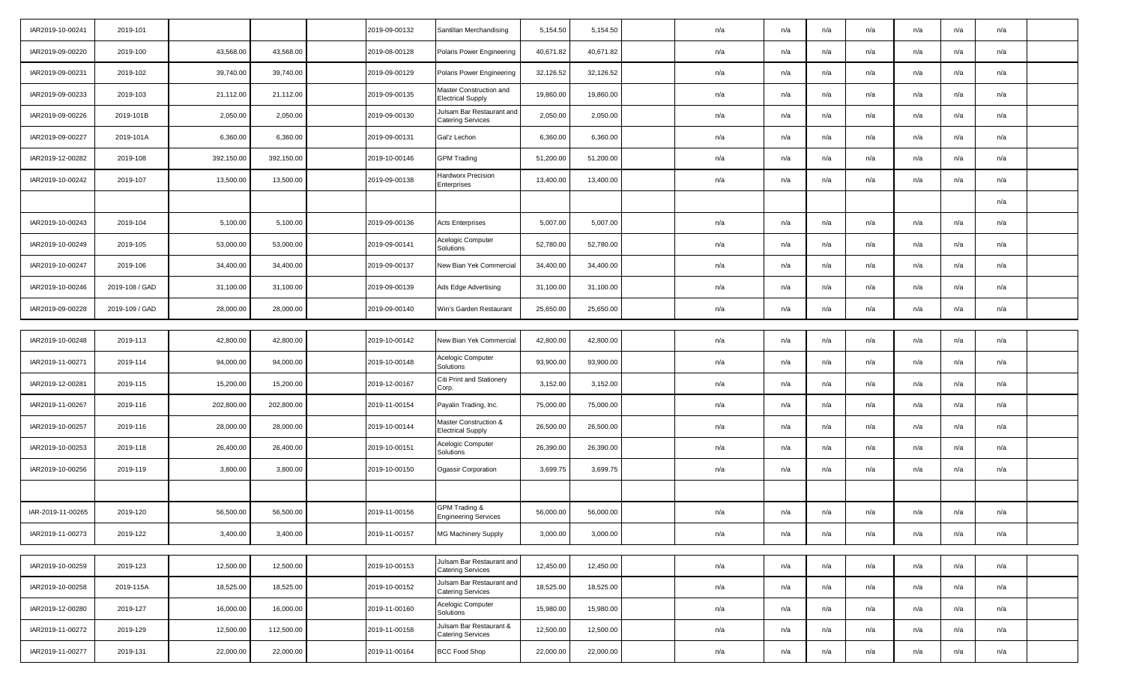| IAR2019-10-00241  | 2019-101       |            |            | 2019-09-00132 | Santillan Merchandising                               | 5,154.50  | 5,154.50  | n/a | n/a | n/a | n/a | n/a | n/a | n/a |  |
|-------------------|----------------|------------|------------|---------------|-------------------------------------------------------|-----------|-----------|-----|-----|-----|-----|-----|-----|-----|--|
| IAR2019-09-00220  | 2019-100       | 43,568.00  | 43,568.00  | 2019-08-00128 | Polaris Power Engineering                             | 40,671.82 | 40,671.82 | n/a | n/a | n/a | n/a | n/a | n/a | n/a |  |
| IAR2019-09-00231  | 2019-102       | 39,740.00  | 39,740.00  | 2019-09-00129 | Polaris Power Engineering                             | 32,126.52 | 32,126.52 | n/a | n/a | n/a | n/a | n/a | n/a | n/a |  |
| IAR2019-09-00233  | 2019-103       | 21,112.00  | 21,112.00  | 2019-09-00135 | Master Construction and<br><b>Electrical Supply</b>   | 19,860.00 | 19,860.00 | n/a | n/a | n/a | n/a | n/a | n/a | n/a |  |
| IAR2019-09-00226  | 2019-101B      | 2,050.00   | 2,050.00   | 2019-09-00130 | Julsam Bar Restaurant and<br><b>Catering Services</b> | 2,050.00  | 2,050.00  | n/a | n/a | n/a | n/a | n/a | n/a | n/a |  |
| IAR2019-09-00227  | 2019-101A      | 6,360.00   | 6,360.00   | 2019-09-00131 | Gal'z Lechon                                          | 6,360.00  | 6,360.00  | n/a | n/a | n/a | n/a | n/a | n/a | n/a |  |
| IAR2019-12-00282  | 2019-108       | 392,150.00 | 392,150.00 | 2019-10-00146 | <b>GPM Trading</b>                                    | 51,200.00 | 51,200.00 | n/a | n/a | n/a | n/a | n/a | n/a | n/a |  |
| IAR2019-10-00242  | 2019-107       | 13,500.00  | 13,500.00  | 2019-09-00138 | Hardworx Precision<br>Enterprises                     | 13,400.00 | 13,400.00 | n/a | n/a | n/a | n/a | n/a | n/a | n/a |  |
|                   |                |            |            |               |                                                       |           |           |     |     |     |     |     |     | n/a |  |
| IAR2019-10-00243  | 2019-104       | 5,100.00   | 5,100.00   | 2019-09-00136 | <b>Acts Enterprises</b>                               | 5,007.00  | 5,007.00  | n/a | n/a | n/a | n/a | n/a | n/a | n/a |  |
| IAR2019-10-00249  | 2019-105       | 53,000.00  | 53,000.00  | 2019-09-00141 | Acelogic Computer<br>Solutions                        | 52,780.00 | 52,780.00 | n/a | n/a | n/a | n/a | n/a | n/a | n/a |  |
| IAR2019-10-00247  | 2019-106       | 34,400.00  | 34,400.00  | 2019-09-00137 | New Bian Yek Commercial                               | 34,400.00 | 34,400.00 | n/a | n/a | n/a | n/a | n/a | n/a | n/a |  |
| IAR2019-10-00246  | 2019-108 / GAD | 31,100.00  | 31,100.00  | 2019-09-00139 | Ads Edge Advertising                                  | 31,100.00 | 31,100.00 | n/a | n/a | n/a | n/a | n/a | n/a | n/a |  |
| IAR2019-09-00228  | 2019-109 / GAD | 28,000.00  | 28,000.00  | 2019-09-00140 | Win's Garden Restaurant                               | 25,650.00 | 25,650.00 | n/a | n/a | n/a | n/a | n/a | n/a | n/a |  |
|                   |                |            |            |               |                                                       |           |           |     |     |     |     |     |     |     |  |
| IAR2019-10-00248  | 2019-113       | 42,800.00  | 42,800.00  | 2019-10-00142 | New Bian Yek Commercial                               | 42,800.00 | 42,800.00 | n/a | n/a | n/a | n/a | n/a | n/a | n/a |  |
| IAR2019-11-00271  | 2019-114       | 94,000.00  | 94,000.00  | 2019-10-00148 | Acelogic Computer<br>Solutions                        | 93,900.00 | 93,900.00 | n/a | n/a | n/a | n/a | n/a | n/a | n/a |  |
| IAR2019-12-00281  | 2019-115       | 15,200.00  | 15,200.00  | 2019-12-00167 | Citi Print and Stationery<br>Corp.                    | 3,152.00  | 3,152.00  | n/a | n/a | n/a | n/a | n/a | n/a | n/a |  |
| IAR2019-11-00267  | 2019-116       | 202,800.00 | 202,800.00 | 2019-11-00154 | Payalin Trading, Inc.                                 | 75,000.00 | 75,000.00 | n/a | n/a | n/a | n/a | n/a | n/a | n/a |  |
| IAR2019-10-00257  | 2019-116       | 28,000.00  | 28,000.00  | 2019-10-00144 | Master Construction &<br><b>Electrical Supply</b>     | 26,500.00 | 26,500.00 | n/a | n/a | n/a | n/a | n/a | n/a | n/a |  |
| IAR2019-10-00253  | 2019-118       | 26,400.00  | 26,400.00  | 2019-10-00151 | Acelogic Computer<br>Solutions                        | 26,390.00 | 26,390.00 | n/a | n/a | n/a | n/a | n/a | n/a | n/a |  |
| IAR2019-10-00256  | 2019-119       | 3,800.00   | 3,800.00   | 2019-10-00150 | Ogassir Corporation                                   | 3,699.75  | 3,699.75  | n/a | n/a | n/a | n/a | n/a | n/a | n/a |  |
|                   |                |            |            |               |                                                       |           |           |     |     |     |     |     |     |     |  |
| IAR-2019-11-00265 | 2019-120       | 56,500.00  | 56,500.00  | 2019-11-00156 | GPM Trading &<br><b>Engineering Services</b>          | 56,000.00 | 56,000.00 | n/a | n/a | n/a | n/a | n/a | n/a | n/a |  |
| IAR2019-11-00273  | 2019-122       | 3,400.00   | 3,400.00   | 2019-11-00157 | MG Machinery Supply                                   | 3,000.00  | 3,000.00  | n/a | n/a | n/a | n/a | n/a | n/a | n/a |  |
|                   |                |            |            |               |                                                       |           |           |     |     |     |     |     |     |     |  |
| IAR2019-10-00259  | 2019-123       | 12,500.00  | 12,500.00  | 2019-10-00153 | Julsam Bar Restaurant and<br><b>Catering Services</b> | 12,450.00 | 12,450.00 | n/a | n/a | n/a | n/a | n/a | n/a | n/a |  |
| IAR2019-10-00258  | 2019-115A      | 18,525.00  | 18,525.00  | 2019-10-00152 | Julsam Bar Restaurant and<br><b>Catering Services</b> | 18,525.00 | 18,525.00 | n/a | n/a | n/a | n/a | n/a | n/a | n/a |  |
| IAR2019-12-00280  | 2019-127       | 16,000.00  | 16,000.00  | 2019-11-00160 | Acelogic Computer<br>Solutions                        | 15,980.00 | 15,980.00 | n/a | n/a | n/a | n/a | n/a | n/a | n/a |  |
| IAR2019-11-00272  | 2019-129       | 12,500.00  | 112,500.00 | 2019-11-00158 | Julsam Bar Restaurant &<br><b>Catering Services</b>   | 12,500.00 | 12,500.00 | n/a | n/a | n/a | n/a | n/a | n/a | n/a |  |
| IAR2019-11-00277  | 2019-131       | 22,000.00  | 22,000.00  | 2019-11-00164 | BCC Food Shop                                         | 22,000.00 | 22,000.00 | n/a | n/a | n/a | n/a | n/a | n/a | n/a |  |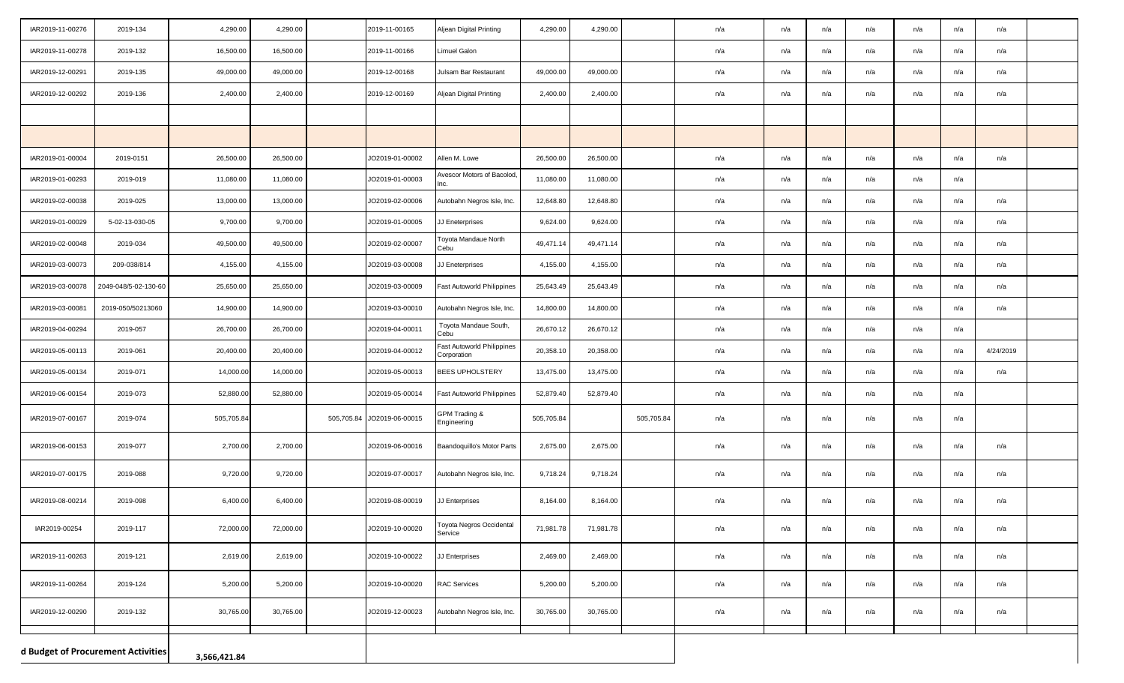| IAR2019-11-00276 | 2019-134                                           | 4,290.00   | 4,290.00  |  | 2019-11-00165              | Aljean Digital Printing                   | 4,290.00   | 4,290.00  |            | n/a | n/a | n/a | n/a | n/a | n/a | n/a       |  |
|------------------|----------------------------------------------------|------------|-----------|--|----------------------------|-------------------------------------------|------------|-----------|------------|-----|-----|-----|-----|-----|-----|-----------|--|
| IAR2019-11-00278 | 2019-132                                           | 16,500.00  | 16,500.00 |  | 2019-11-00166              | Limuel Galon                              |            |           |            | n/a | n/a | n/a | n/a | n/a | n/a | n/a       |  |
| IAR2019-12-00291 | 2019-135                                           | 49,000.00  | 49,000.00 |  | 2019-12-00168              | Julsam Bar Restaurant                     | 49,000.00  | 49,000.00 |            | n/a | n/a | n/a | n/a | n/a | n/a | n/a       |  |
| IAR2019-12-00292 | 2019-136                                           | 2,400.00   | 2,400.00  |  | 2019-12-00169              | Aljean Digital Printing                   | 2,400.00   | 2,400.00  |            | n/a | n/a | n/a | n/a | n/a | n/a | n/a       |  |
|                  |                                                    |            |           |  |                            |                                           |            |           |            |     |     |     |     |     |     |           |  |
|                  |                                                    |            |           |  |                            |                                           |            |           |            |     |     |     |     |     |     |           |  |
| IAR2019-01-00004 | 2019-0151                                          | 26,500.00  | 26,500.00 |  | JO2019-01-00002            | Allen M. Lowe                             | 26,500.00  | 26,500.00 |            | n/a | n/a | n/a | n/a | n/a | n/a | n/a       |  |
| IAR2019-01-00293 | 2019-019                                           | 11,080.00  | 11,080.00 |  | JO2019-01-00003            | Avescor Motors of Bacolod,<br>Inc.        | 11,080.00  | 11,080.00 |            | n/a | n/a | n/a | n/a | n/a | n/a |           |  |
| IAR2019-02-00038 | 2019-025                                           | 13,000.00  | 13,000.00 |  | JO2019-02-00006            | Autobahn Negros Isle, Inc.                | 12,648.80  | 12,648.80 |            | n/a | n/a | n/a | n/a | n/a | n/a | n/a       |  |
| IAR2019-01-00029 | 5-02-13-030-05                                     | 9,700.00   | 9,700.00  |  | JO2019-01-00005            | JJ Eneterprises                           | 9,624.00   | 9,624.00  |            | n/a | n/a | n/a | n/a | n/a | n/a | n/a       |  |
| IAR2019-02-00048 | 2019-034                                           | 49,500.00  | 49,500.00 |  | JO2019-02-00007            | Toyota Mandaue North<br>Cebu              | 49,471.14  | 49,471.14 |            | n/a | n/a | n/a | n/a | n/a | n/a | n/a       |  |
| IAR2019-03-00073 | 209-038/814                                        | 4,155.00   | 4,155.00  |  | JO2019-03-00008            | JJ Eneterprises                           | 4,155.00   | 4,155.00  |            | n/a | n/a | n/a | n/a | n/a | n/a | n/a       |  |
| IAR2019-03-00078 | 2049-048/5-02-130-60                               | 25,650.00  | 25,650.00 |  | JO2019-03-00009            | Fast Autoworld Philippines                | 25,643.49  | 25,643.49 |            | n/a | n/a | n/a | n/a | n/a | n/a | n/a       |  |
| IAR2019-03-00081 | 2019-050/50213060                                  | 14,900.00  | 14,900.00 |  | JO2019-03-00010            | Autobahn Negros Isle, Inc.                | 14,800.00  | 14,800.00 |            | n/a | n/a | n/a | n/a | n/a | n/a | n/a       |  |
| IAR2019-04-00294 | 2019-057                                           | 26,700.00  | 26,700.00 |  | JO2019-04-00011            | Toyota Mandaue South,<br>Cebu             | 26,670.12  | 26,670.12 |            | n/a | n/a | n/a | n/a | n/a | n/a |           |  |
| IAR2019-05-00113 | 2019-061                                           | 20,400.00  | 20,400.00 |  | JO2019-04-00012            | Fast Autoworld Philippines<br>Corporation | 20,358.10  | 20,358.00 |            | n/a | n/a | n/a | n/a | n/a | n/a | 4/24/2019 |  |
| IAR2019-05-00134 | 2019-071                                           | 14,000.0   | 14,000.00 |  | JO2019-05-00013            | <b>BEES UPHOLSTERY</b>                    | 13,475.00  | 13,475.00 |            | n/a | n/a | n/a | n/a | n/a | n/a | n/a       |  |
| IAR2019-06-00154 | 2019-073                                           | 52,880.00  | 52,880.00 |  | JO2019-05-00014            | Fast Autoworld Philippines                | 52,879.40  | 52,879.40 |            | n/a | n/a | n/a | n/a | n/a | n/a |           |  |
| IAR2019-07-00167 | 2019-074                                           | 505,705.84 |           |  | 505,705.84 JO2019-06-00015 | GPM Trading &<br>Engineering              | 505,705.84 |           | 505,705.84 | n/a | n/a | n/a | n/a | n/a | n/a |           |  |
| IAR2019-06-00153 | 2019-077                                           | 2,700.00   | 2,700.00  |  | JO2019-06-00016            | Baandoquillo's Motor Parts                | 2,675.00   | 2,675.00  |            | n/a | n/a | n/a | n/a | n/a | n/a | n/a       |  |
| IAR2019-07-00175 | 2019-088                                           | 9,720.00   | 9,720.00  |  | JO2019-07-00017            | Autobahn Negros Isle, Inc.                | 9,718.24   | 9,718.24  |            | n/a | n/a | n/a | n/a | n/a | n/a | n/a       |  |
| IAR2019-08-00214 | 2019-098                                           | 6,400.00   | 6,400.00  |  | JO2019-08-00019            | J Enterprises                             | 8,164.00   | 8,164.00  |            | n/a | n/a | n/a | n/a | n/a | n/a | n/a       |  |
| IAR2019-00254    | 2019-117                                           | 72,000.00  | 72,000.00 |  | JO2019-10-00020            | Toyota Negros Occidental<br>Service       | 71,981.78  | 71,981.78 |            | n/a | n/a | n/a | n/a | n/a | n/a | n/a       |  |
| IAR2019-11-00263 | 2019-121                                           | 2,619.00   | 2,619.00  |  | JO2019-10-00022            | JJ Enterprises                            | 2,469.00   | 2,469.00  |            | n/a | n/a | n/a | n/a | n/a | n/a | n/a       |  |
| IAR2019-11-00264 | 2019-124                                           | 5,200.00   | 5,200.00  |  | JO2019-10-00020            | <b>RAC Services</b>                       | 5,200.00   | 5,200.00  |            | n/a | n/a | n/a | n/a | n/a | n/a | n/a       |  |
| IAR2019-12-00290 | 2019-132                                           | 30,765.00  | 30,765.00 |  | JO2019-12-00023            | Autobahn Negros Isle, Inc.                | 30,765.00  | 30,765.00 |            | n/a | n/a | n/a | n/a | n/a | n/a | n/a       |  |
|                  | d Budget of Procurement Activities<br>3,566,421.84 |            |           |  |                            |                                           |            |           |            |     |     |     |     |     |     |           |  |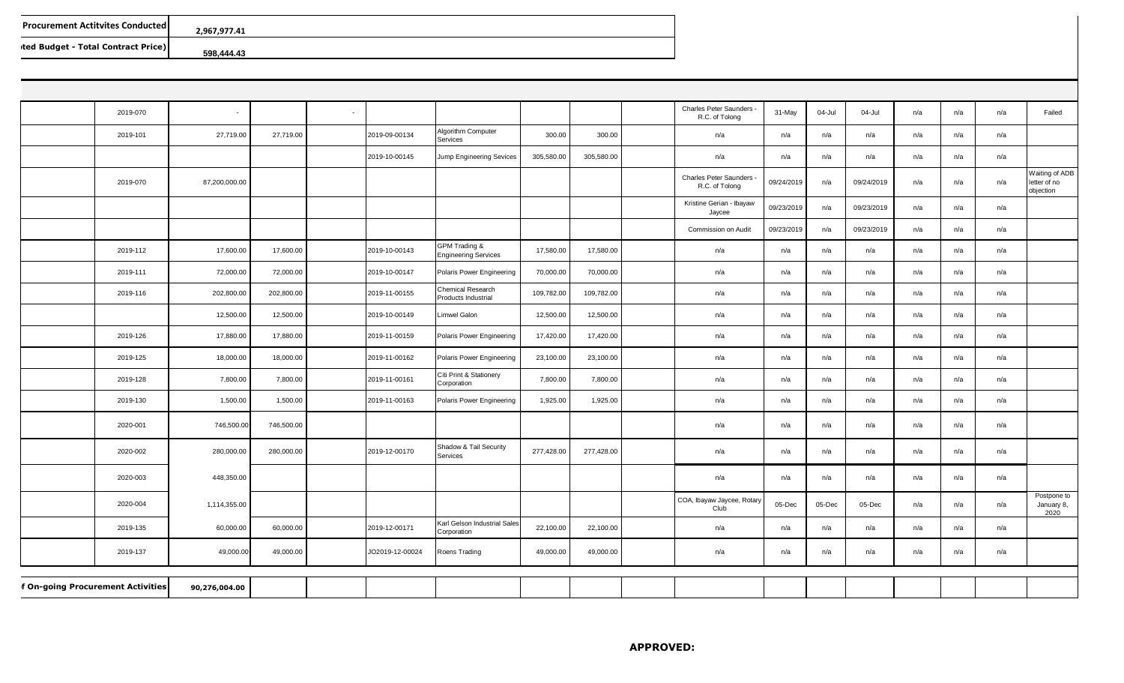| <b>Procurement Actitvites Conducted  </b> | 2.967.977.41 |
|-------------------------------------------|--------------|
| ted Budget - Total Contract Price)        | 598.444.43   |

| 2019-070                          | $\sim$        |            | $\sim$ |                 |                                              |            |            | Charles Peter Saunders<br>R.C. of Tolong   | 31-May     | 04-Jul | 04-Jul     | n/a | n/a | n/a | Failed                                      |
|-----------------------------------|---------------|------------|--------|-----------------|----------------------------------------------|------------|------------|--------------------------------------------|------------|--------|------------|-----|-----|-----|---------------------------------------------|
| 2019-101                          | 27,719.00     | 27,719.00  |        | 2019-09-00134   | Algorithm Computer<br>Services               | 300.00     | 300.00     | n/a                                        | n/a        | n/a    | n/a        | n/a | n/a | n/a |                                             |
|                                   |               |            |        | 2019-10-00145   | Jump Engineering Sevices                     | 305,580.00 | 305,580.00 | n/a                                        | n/a        | n/a    | n/a        | n/a | n/a | n/a |                                             |
| 2019-070                          | 87,200,000.00 |            |        |                 |                                              |            |            | Charles Peter Saunders -<br>R.C. of Tolong | 09/24/2019 | n/a    | 09/24/2019 | n/a | n/a | n/a | Waiting of ADB<br>letter of no<br>objection |
|                                   |               |            |        |                 |                                              |            |            | Kristine Gerian - Ibayaw<br>Jaycee         | 09/23/2019 | n/a    | 09/23/2019 | n/a | n/a | n/a |                                             |
|                                   |               |            |        |                 |                                              |            |            | Commission on Audit                        | 09/23/2019 | n/a    | 09/23/2019 | n/a | n/a | n/a |                                             |
| 2019-112                          | 17,600.00     | 17,600.00  |        | 2019-10-00143   | GPM Trading &<br><b>Engineering Services</b> | 17,580.00  | 17,580.00  | n/a                                        | n/a        | n/a    | n/a        | n/a | n/a | n/a |                                             |
| 2019-111                          | 72,000.00     | 72,000.00  |        | 2019-10-00147   | Polaris Power Engineering                    | 70,000.00  | 70,000.00  | n/a                                        | n/a        | n/a    | n/a        | n/a | n/a | n/a |                                             |
| 2019-116                          | 202,800.00    | 202,800.00 |        | 2019-11-00155   | Chemical Research<br>Products Industrial     | 109,782.00 | 109,782.00 | n/a                                        | n/a        | n/a    | n/a        | n/a | n/a | n/a |                                             |
|                                   | 12,500.00     | 12,500.00  |        | 2019-10-00149   | Limwel Galon                                 | 12,500.00  | 12,500.00  | n/a                                        | n/a        | n/a    | n/a        | n/a | n/a | n/a |                                             |
| 2019-126                          | 17,880.00     | 17,880.00  |        | 2019-11-00159   | Polaris Power Engineering                    | 17,420.00  | 17,420.00  | n/a                                        | n/a        | n/a    | n/a        | n/a | n/a | n/a |                                             |
| 2019-125                          | 18,000.00     | 18,000.00  |        | 2019-11-00162   | Polaris Power Engineering                    | 23,100.00  | 23,100.00  | n/a                                        | n/a        | n/a    | n/a        | n/a | n/a | n/a |                                             |
| 2019-128                          | 7,800.00      | 7,800.00   |        | 2019-11-00161   | Citi Print & Stationery<br>Corporation       | 7,800.00   | 7,800.00   | n/a                                        | n/a        | n/a    | n/a        | n/a | n/a | n/a |                                             |
| 2019-130                          | 1,500.00      | 1,500.00   |        | 2019-11-00163   | Polaris Power Engineering                    | 1,925.00   | 1,925.00   | n/a                                        | n/a        | n/a    | n/a        | n/a | n/a | n/a |                                             |
| 2020-001                          | 746,500.00    | 746,500.00 |        |                 |                                              |            |            | n/a                                        | n/a        | n/a    | n/a        | n/a | n/a | n/a |                                             |
| 2020-002                          | 280,000.00    | 280,000.00 |        | 2019-12-00170   | Shadow & Tail Security<br>Services           | 277,428.00 | 277,428.00 | n/a                                        | n/a        | n/a    | n/a        | n/a | n/a | n/a |                                             |
| 2020-003                          | 448,350.00    |            |        |                 |                                              |            |            | n/a                                        | n/a        | n/a    | n/a        | n/a | n/a | n/a |                                             |
| 2020-004                          | 1,114,355.00  |            |        |                 |                                              |            |            | COA, Ibayaw Jaycee, Rotary<br>Club         | 05-Dec     | 05-Dec | 05-Dec     | n/a | n/a | n/a | Postpone to<br>January 8,<br>2020           |
| 2019-135                          | 60,000.00     | 60,000.00  |        | 2019-12-00171   | Karl Gelson Industrial Sales<br>Corporation  | 22,100.00  | 22,100.00  | n/a                                        | n/a        | n/a    | n/a        | n/a | n/a | n/a |                                             |
| 2019-137                          | 49,000.00     | 49,000.00  |        | JO2019-12-00024 | Roens Trading                                | 49,000.00  | 49,000.00  | n/a                                        | n/a        | n/a    | n/a        | n/a | n/a | n/a |                                             |
|                                   |               |            |        |                 |                                              |            |            |                                            |            |        |            |     |     |     |                                             |
| f On-going Procurement Activities | 90,276,004.00 |            |        |                 |                                              |            |            |                                            |            |        |            |     |     |     |                                             |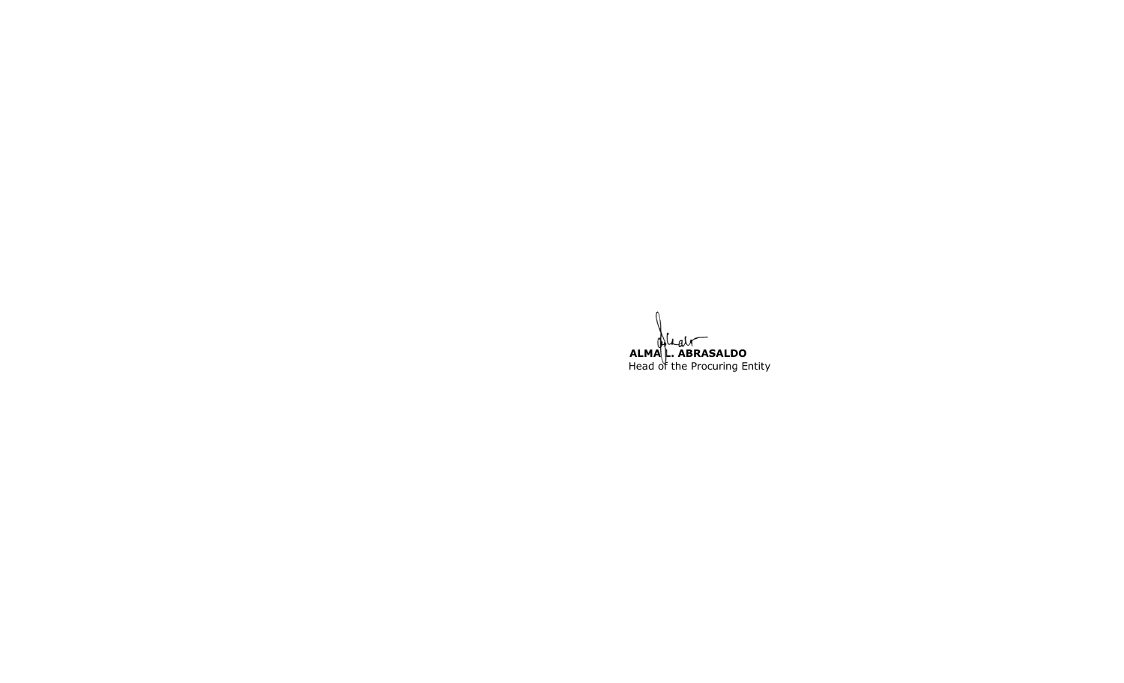**ALMA L. ABRASALDO** Head of the Procuring Entity